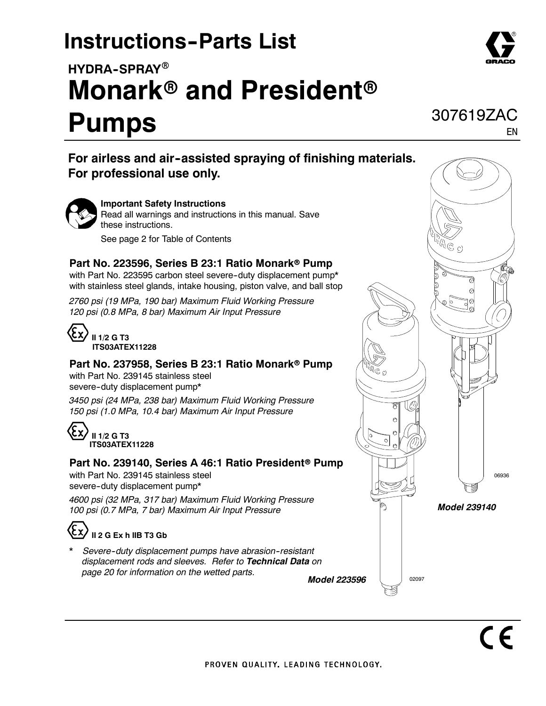# **Instructions-Parts List**

# HYDRA-SPRAY<sup>®</sup> **Monark<sup>®</sup> and President<sup>®</sup>**

# **Pumps**

**For airless and air--assisted spraying of finishing materials. For professional use only.**



#### **Important Safety Instructions** Read all warnings and instructions in this manual. Save

these instructions.

See page 2 for Table of Contents

### **Part No. 223596, Series B 23:1 Ratio Monark® Pump**

with Part No. 223595 carbon steel severe-duty displacement pump\* with stainless steel glands, intake housing, piston valve, and ball stop

*2760 psi (19 MPa, 190 bar) Maximum Fluid Working Pressure 120 psi (0.8 MPa, 8 bar) Maximum Air Input Pressure*



## **Part No. 237958, Series B 23:1 Ratio Monark® Pump**

with Part No. 239145 stainless steel severe-duty displacement pump\*

*3450 psi (24 MPa, 238 bar) Maximum Fluid Working Pressure 150 psi (1.0 MPa, 10.4 bar) Maximum Air Input Pressure*

## **II 1/2 G T3 ITS03ATEX11228**

### **Part No. 239140, Series A 46:1 Ratio President<sup>®</sup> Pump**

with Part No. 239145 stainless steel severe-duty displacement pump\*

*4600 psi (32 MPa, 317 bar) Maximum Fluid Working Pressure 100 psi (0.7 MPa, 7 bar) Maximum Air Input Pressure*

## **II 2 G Ex h IIB T3 Gb**

*\* Severe--duty displacement pumps have abrasion--resistant displacement rods and sleeves. Refer to Technical Data on page 20 for information on the wetted parts.*





EN

307619ZAC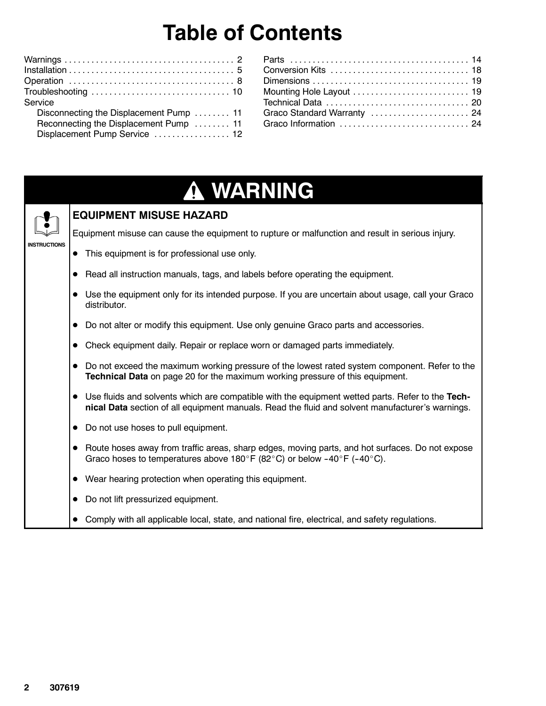# **Table of Contents**

| Service                                 |
|-----------------------------------------|
| Disconnecting the Displacement Pump  11 |
| Reconnecting the Displacement Pump  11  |
| Displacement Pump Service  12           |
|                                         |

| Conversion Kits  18         |  |
|-----------------------------|--|
|                             |  |
| Mounting Hole Layout  19    |  |
|                             |  |
| Graco Standard Warranty  24 |  |
| Graco Information  24       |  |
|                             |  |

# **WARNING**



### **EQUIPMENT MISUSE HAZARD**

Equipment misuse can cause the equipment to rupture or malfunction and result in serious injury.

- This equipment is for professional use only.
- Read all instruction manuals, tags, and labels before operating the equipment.
- Use the equipment only for its intended purpose. If you are uncertain about usage, call your Graco distributor.
- $\bullet$  Do not alter or modify this equipment. Use only genuine Graco parts and accessories.
- Check equipment daily. Repair or replace worn or damaged parts immediately.
- Do not exceed the maximum working pressure of the lowest rated system component. Refer to the **Technical Data** on page 20 for the maximum working pressure of this equipment.
- Use fluids and solvents which are compatible with the equipment wetted parts. Refer to the Tech**nical Data** section of all equipment manuals. Read the fluid and solvent manufacturer's warnings.
- Do not use hoses to pull equipment.
- Route hoses away from traffic areas, sharp edges, moving parts, and hot surfaces. Do not expose Graco hoses to temperatures above 180°F (82°C) or below -40°F (-40°C).
- $\bullet$  Wear hearing protection when operating this equipment.
- Do not lift pressurized equipment.
- Comply with all applicable local, state, and national fire, electrical, and safety regulations.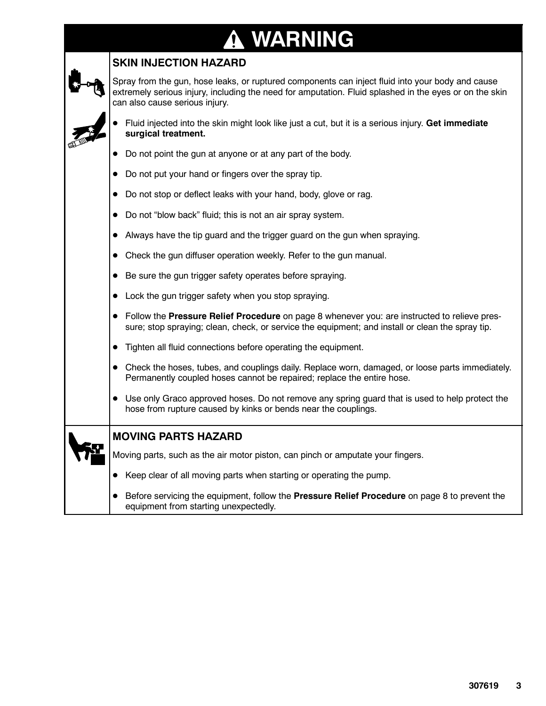### **WARNING**  $\bf \Phi$

### **SKIN INJECTION HAZARD**

Spray from the gun, hose leaks, or ruptured components can inject fluid into your body and cause extremely serious injury, including the need for amputation. Fluid splashed in the eyes or on the skin can also cause serious injury.

| • Fluid injected into the skin might look like just a cut, but it is a serious injury. Get immediate |  |
|------------------------------------------------------------------------------------------------------|--|
| surgical treatment.                                                                                  |  |

| • Do not point the gun at anyone or at any part of the body. |  |  |
|--------------------------------------------------------------|--|--|
|                                                              |  |  |

- Do not put your hand or fingers over the spray tip.
- Do not stop or deflect leaks with your hand, body, glove or rag.
- Do not "blow back" fluid; this is not an air spray system.
- Always have the tip guard and the trigger guard on the gun when spraying.
- $\bullet$  Check the gun diffuser operation weekly. Refer to the gun manual.
- Be sure the gun trigger safety operates before spraying.
- $\bullet$  Lock the gun trigger safety when you stop spraying.
- **•** Follow the **Pressure Relief Procedure** on page 8 whenever you: are instructed to relieve pressure; stop spraying; clean, check, or service the equipment; and install or clean the spray tip.
- **•** Tighten all fluid connections before operating the equipment.
- Check the hoses, tubes, and couplings daily. Replace worn, damaged, or loose parts immediately. Permanently coupled hoses cannot be repaired; replace the entire hose.
- Use only Graco approved hoses. Do not remove any spring guard that is used to help protect the hose from rupture caused by kinks or bends near the couplings.

| <b>MOVING PARTS HAZARD</b> |  |
|----------------------------|--|
|----------------------------|--|

Moving parts, such as the air motor piston, can pinch or amputate your fingers.

- Keep clear of all moving parts when starting or operating the pump.
- **•** Before servicing the equipment, follow the **Pressure Relief Procedure** on page 8 to prevent the equipment from starting unexpectedly.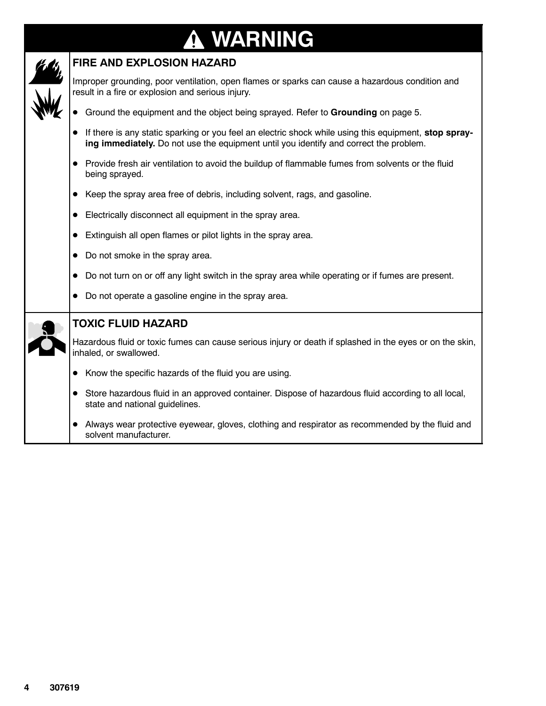### **WARNING**  $\bf \Phi$



### **FIRE AND EXPLOSION HAZARD**

Improper grounding, poor ventilation, open flames or sparks can cause a hazardous condition and result in a fire or explosion and serious injury.

- **•** Ground the equipment and the object being sprayed. Refer to Grounding on page 5.
- If there is any static sparking or you feel an electric shock while using this equipment, stop spray**ing immediately.** Do not use the equipment until you identify and correct the problem.
- Provide fresh air ventilation to avoid the buildup of flammable fumes from solvents or the fluid being sprayed.
- Keep the spray area free of debris, including solvent, rags, and gasoline.
- Electrically disconnect all equipment in the spray area.
- Extinguish all open flames or pilot lights in the spray area.
- $\bullet$  Do not smoke in the spray area.
- $\bullet$  Do not turn on or off any light switch in the spray area while operating or if fumes are present.
- 

|  | Do not operate a gasoline engine in the spray area.<br>$\bullet$                                                                     |
|--|--------------------------------------------------------------------------------------------------------------------------------------|
|  | <b>TOXIC FLUID HAZARD</b>                                                                                                            |
|  | Hazardous fluid or toxic fumes can cause serious injury or death if splashed in the eyes or on the skin,<br>inhaled, or swallowed.   |
|  | Know the specific hazards of the fluid you are using.                                                                                |
|  | Store hazardous fluid in an approved container. Dispose of hazardous fluid according to all local,<br>state and national guidelines. |
|  | Always wear protective eyewear, gloves, clothing and respirator as recommended by the fluid and<br>solvent manufacturer.             |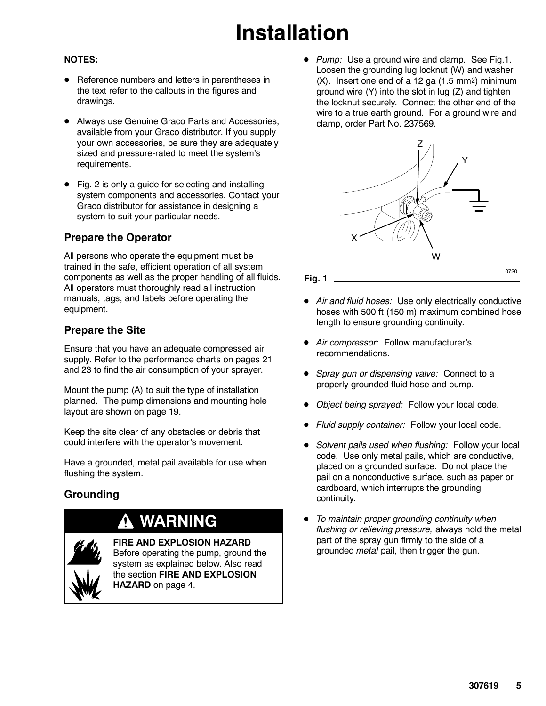# **Installation**

### **NOTES:**

- Reference numbers and letters in parentheses in the text refer to the callouts in the figures and drawings.
- Always use Genuine Graco Parts and Accessories, available from your Graco distributor. If you supply your own accessories, be sure they are adequately sized and pressure-rated to meet the system's requirements.
- Fig. 2 is only a guide for selecting and installing system components and accessories. Contact your Graco distributor for assistance in designing a system to suit your particular needs.

### **Prepare the Operator**

All persons who operate the equipment must be trained in the safe, efficient operation of all system components as well as the proper handling of all fluids. All operators must thoroughly read all instruction manuals, tags, and labels before operating the equipment.

### **Prepare the Site**

Ensure that you have an adequate compressed air supply. Refer to the performance charts on pages 21 and 23 to find the air consumption of your sprayer.

Mount the pump (A) to suit the type of installation planned. The pump dimensions and mounting hole layout are shown on page 19.

Keep the site clear of any obstacles or debris that could interfere with the operator's movement.

Have a grounded, metal pail available for use when flushing the system.

### **Grounding**

## **WARNING**

**FIRE AND EXPLOSION HAZARD**

Before operating the pump, ground the system as explained below. Also read the section **FIRE AND EXPLOSION HAZARD** on page 4.

• *Pump:* Use a ground wire and clamp. See Fig.1. Loosen the grounding lug locknut (W) and washer  $(X)$ . Insert one end of a 12 ga  $(1.5 \text{ mm}^2)$  minimum ground wire (Y) into the slot in lug (Z) and tighten the locknut securely. Connect the other end of the wire to a true earth ground. For a ground wire and clamp, order Part No. 237569.



#### **Fig. 1**

- Air and fluid hoses: Use only electrically conductive hoses with 500 ft (150 m) maximum combined hose length to ensure grounding continuity.
- $\bullet$  *Air compressor:* Follow manufacturer's recommendations.
- *Spray gun or dispensing valve:* Connect to a properly grounded fluid hose and pump.
- *Object being sprayed:* Follow your local code.
- Fluid supply container: Follow your local code.
- Solvent pails used when flushing: Follow your local code. Use only metal pails, which are conductive, placed on a grounded surface. Do not place the pail on a nonconductive surface, such as paper or cardboard, which interrupts the grounding continuity.
- D *To maintain proper grounding continuity when flushing or relieving pressure,* always hold the metal part of the spray gun firmly to the side of a grounded *metal* pail, then trigger the gun.

0720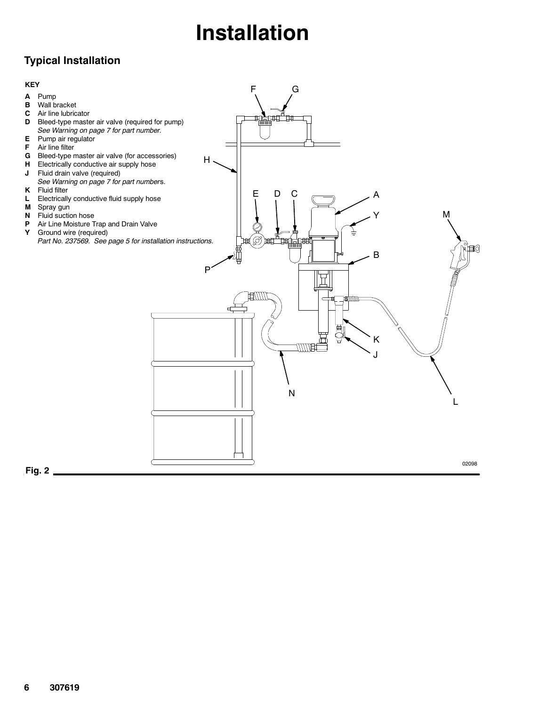# **Installation**

## **Typical Installation**

#### **KEY**

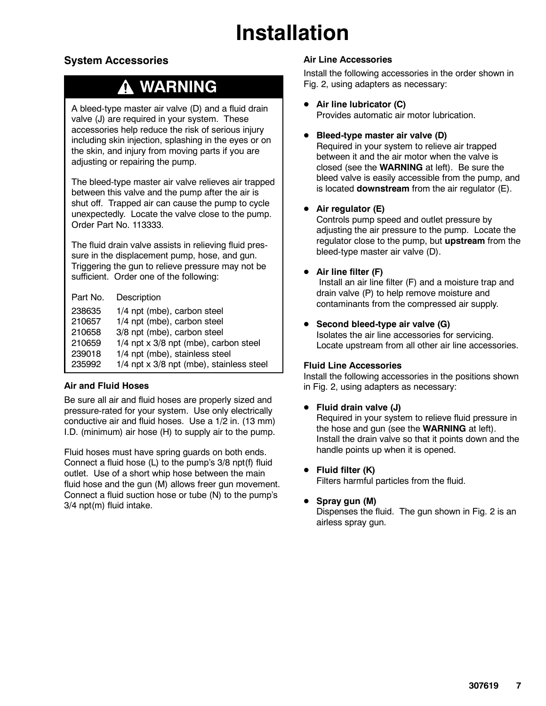# **Installation**

### **System Accessories**

## **WARNING**

A bleed-type master air valve (D) and a fluid drain valve (J) are required in your system. These accessories help reduce the risk of serious injury including skin injection, splashing in the eyes or on the skin, and injury from moving parts if you are adjusting or repairing the pump.

The bleed-type master air valve relieves air trapped between this valve and the pump after the air is shut off. Trapped air can cause the pump to cycle unexpectedly. Locate the valve close to the pump. Order Part No. 113333.

The fluid drain valve assists in relieving fluid pressure in the displacement pump, hose, and gun. Triggering the gun to relieve pressure may not be sufficient. Order one of the following:

Part No. Description

| 238635 | 1/4 npt (mbe), carbon steel              |
|--------|------------------------------------------|
| 210657 | 1/4 npt (mbe), carbon steel              |
| 210658 | 3/8 npt (mbe), carbon steel              |
| 210659 | $1/4$ npt x 3/8 npt (mbe), carbon steel  |
| 239018 | 1/4 npt (mbe), stainless steel           |
| 235992 | 1/4 npt x 3/8 npt (mbe), stainless steel |

### **Air and Fluid Hoses**

Be sure all air and fluid hoses are properly sized and pressure-rated for your system. Use only electrically conductive air and fluid hoses. Use a 1/2 in. (13 mm) I.D. (minimum) air hose (H) to supply air to the pump.

Fluid hoses must have spring guards on both ends. Connect a fluid hose (L) to the pump's 3/8 npt(f) fluid outlet. Use of a short whip hose between the main fluid hose and the gun (M) allows freer gun movement. Connect a fluid suction hose or tube (N) to the pump's 3/4 npt(m) fluid intake.

### **Air Line Accessories**

Install the following accessories in the order shown in Fig. 2, using adapters as necessary:

**Air line lubricator (C)** 

Provides automatic air motor lubrication.

Bleed-type master air valve (D)

Required in your system to relieve air trapped between it and the air motor when the valve is closed (see the **WARNING** at left). Be sure the bleed valve is easily accessible from the pump, and is located **downstream** from the air regulator (E).

### **•** Air regulator (E)

Controls pump speed and outlet pressure by adjusting the air pressure to the pump. Locate the regulator close to the pump, but **upstream** from the bleed-type master air valve (D).

### **•** Air line filter (F)

Install an air line filter (F) and a moisture trap and drain valve (P) to help remove moisture and contaminants from the compressed air supply.

**•** Second bleed-type air valve (G) Isolates the air line accessories for servicing. Locate upstream from all other air line accessories.

### **Fluid Line Accessories**

Install the following accessories in the positions shown in Fig. 2, using adapters as necessary:

### **•** Fluid drain valve (J)

Required in your system to relieve fluid pressure in the hose and gun (see the **WARNING** at left). Install the drain valve so that it points down and the handle points up when it is opened.

**•** Fluid filter (K)

Filters harmful particles from the fluid.

### **•** Spray gun (M)

Dispenses the fluid. The gun shown in Fig. 2 is an airless spray gun.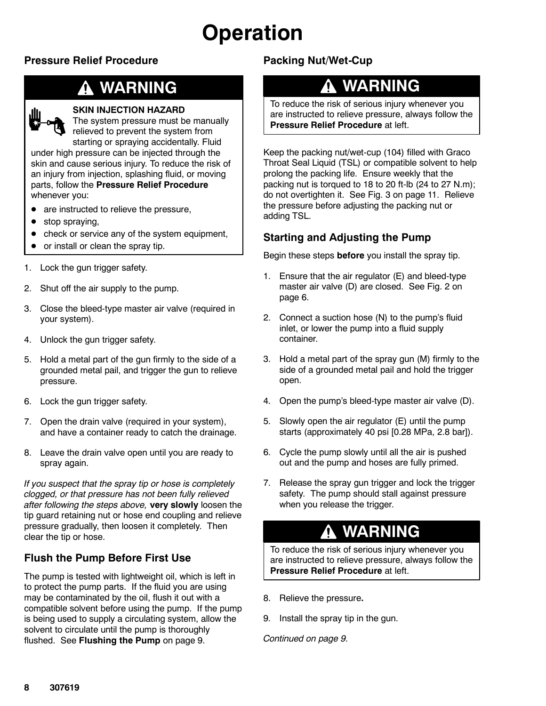# **Operation**

### **Pressure Relief Procedure**

## **WARNING**



#### **SKIN INJECTION HAZARD**

The system pressure must be manually relieved to prevent the system from starting or spraying accidentally. Fluid

under high pressure can be injected through the skin and cause serious injury. To reduce the risk of an injury from injection, splashing fluid, or moving parts, follow the **Pressure Relief Procedure** whenever you:

- $\bullet$  are instructed to relieve the pressure,
- stop spraying,
- check or service any of the system equipment,
- $\bullet$  or install or clean the spray tip.
- 1. Lock the gun trigger safety.
- 2. Shut off the air supply to the pump.
- 3. Close the bleed-type master air valve (required in your system).
- 4. Unlock the gun trigger safety.
- 5. Hold a metal part of the gun firmly to the side of a grounded metal pail, and trigger the gun to relieve pressure.
- 6. Lock the gun trigger safety.
- 7. Open the drain valve (required in your system), and have a container ready to catch the drainage.
- 8. Leave the drain valve open until you are ready to spray again.

*If you suspect that the spray tip or hose is completely clogged, or that pressure has not been fully relieved after following the steps above,* **very slowly** loosen the tip guard retaining nut or hose end coupling and relieve pressure gradually, then loosen it completely. Then clear the tip or hose.

### **Flush the Pump Before First Use**

The pump is tested with lightweight oil, which is left in to protect the pump parts. If the fluid you are using may be contaminated by the oil, flush it out with a compatible solvent before using the pump. If the pump is being used to supply a circulating system, allow the solvent to circulate until the pump is thoroughly flushed. See **Flushing the Pump** on page 9.

## **Packing Nut/Wet-Cup**

## **WARNING**

To reduce the risk of serious injury whenever you are instructed to relieve pressure, always follow the **Pressure Relief Procedure** at left.

Keep the packing nut/wet-cup (104) filled with Graco Throat Seal Liquid (TSL) or compatible solvent to help prolong the packing life. Ensure weekly that the packing nut is torqued to 18 to 20 ft-lb (24 to 27 N.m); do not overtighten it. See Fig. 3 on page 11. Relieve the pressure before adjusting the packing nut or adding TSL.

### **Starting and Adjusting the Pump**

Begin these steps **before** you install the spray tip.

- 1. Ensure that the air regulator (E) and bleed-type master air valve (D) are closed. See Fig. 2 on page 6.
- 2. Connect a suction hose (N) to the pump's fluid inlet, or lower the pump into a fluid supply container.
- 3. Hold a metal part of the spray gun (M) firmly to the side of a grounded metal pail and hold the trigger open.
- 4. Open the pump's bleed-type master air valve (D).
- 5. Slowly open the air regulator (E) until the pump starts (approximately 40 psi [0.28 MPa, 2.8 bar]).
- 6. Cycle the pump slowly until all the air is pushed out and the pump and hoses are fully primed.
- 7. Release the spray gun trigger and lock the trigger safety. The pump should stall against pressure when you release the trigger.

## **WARNING**

To reduce the risk of serious injury whenever you are instructed to relieve pressure, always follow the **Pressure Relief Procedure** at left.

- 8. Relieve the pressure**.**
- 9. Install the spray tip in the gun.

*Continued on page 9.*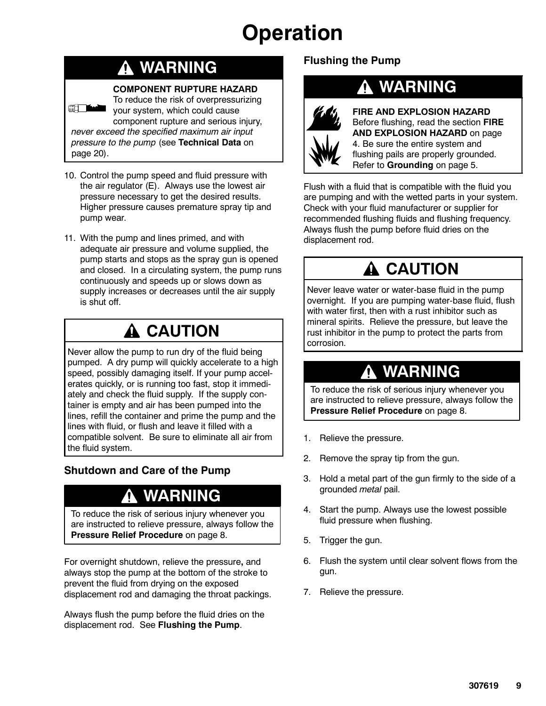# **Operation**

## **WARNING**

### **COMPONENT RUPTURE HAZARD**

To reduce the risk of overpressurizing **Here the Company of the Company of the Company** your system, which could cause component rupture and serious injury, *never exceed the specified maximum air input pressure to the pump* (see **Technical Data** on page 20).

- 10. Control the pump speed and fluid pressure with the air regulator (E). Always use the lowest air pressure necessary to get the desired results. Higher pressure causes premature spray tip and pump wear.
- 11. With the pump and lines primed, and with adequate air pressure and volume supplied, the pump starts and stops as the spray gun is opened and closed. In a circulating system, the pump runs continuously and speeds up or slows down as supply increases or decreases until the air supply is shut off.

## **A** CAUTION

Never allow the pump to run dry of the fluid being pumped. A dry pump will quickly accelerate to a high speed, possibly damaging itself. If your pump accelerates quickly, or is running too fast, stop it immediately and check the fluid supply. If the supply container is empty and air has been pumped into the lines, refill the container and prime the pump and the lines with fluid, or flush and leave it filled with a compatible solvent. Be sure to eliminate all air from the fluid system.

## **Shutdown and Care of the Pump**

## **WARNING**

To reduce the risk of serious injury whenever you are instructed to relieve pressure, always follow the **Pressure Relief Procedure** on page 8.

For overnight shutdown, relieve the pressure**,** and always stop the pump at the bottom of the stroke to prevent the fluid from drying on the exposed displacement rod and damaging the throat packings.

Always flush the pump before the fluid dries on the displacement rod. See **Flushing the Pump**.

## **Flushing the Pump**



## **WARNING**

**FIRE AND EXPLOSION HAZARD** Before flushing, read the section **FIRE AND EXPLOSION HAZARD** on page 4. Be sure the entire system and flushing pails are properly grounded. Refer to **Grounding** on page 5.

Flush with a fluid that is compatible with the fluid you are pumping and with the wetted parts in your system. Check with your fluid manufacturer or supplier for recommended flushing fluids and flushing frequency. Always flush the pump before fluid dries on the displacement rod.

## **A CAUTION**

Never leave water or water-base fluid in the pump overnight. If you are pumping water-base fluid, flush with water first, then with a rust inhibitor such as mineral spirits. Relieve the pressure, but leave the rust inhibitor in the pump to protect the parts from corrosion.

## **WARNING**

To reduce the risk of serious injury whenever you are instructed to relieve pressure, always follow the **Pressure Relief Procedure** on page 8.

- 1. Relieve the pressure.
- 2. Remove the spray tip from the gun.
- 3. Hold a metal part of the gun firmly to the side of a grounded *metal* pail.
- 4. Start the pump. Always use the lowest possible fluid pressure when flushing.
- 5. Trigger the gun.
- 6. Flush the system until clear solvent flows from the gun.
- 7. Relieve the pressure.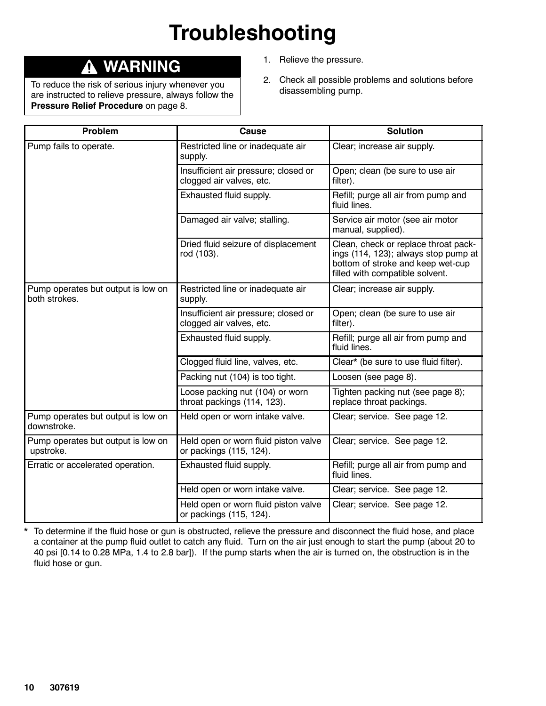# **Troubleshooting**

## **WARNING**

To reduce the risk of serious injury whenever you are instructed to relieve pressure, always follow the **Pressure Relief Procedure** on page 8.

- 1. Relieve the pressure.
- 2. Check all possible problems and solutions before disassembling pump.

| Problem                                             | <b>Cause</b>                                                     | <b>Solution</b>                                                                                                                                      |
|-----------------------------------------------------|------------------------------------------------------------------|------------------------------------------------------------------------------------------------------------------------------------------------------|
| Pump fails to operate.                              | Restricted line or inadequate air<br>supply.                     | Clear; increase air supply.                                                                                                                          |
|                                                     | Insufficient air pressure; closed or<br>clogged air valves, etc. | Open; clean (be sure to use air<br>filter).                                                                                                          |
|                                                     | Exhausted fluid supply.                                          | Refill; purge all air from pump and<br>fluid lines.                                                                                                  |
|                                                     | Damaged air valve; stalling.                                     | Service air motor (see air motor<br>manual, supplied).                                                                                               |
|                                                     | Dried fluid seizure of displacement<br>rod (103).                | Clean, check or replace throat pack-<br>ings (114, 123); always stop pump at<br>bottom of stroke and keep wet-cup<br>filled with compatible solvent. |
| Pump operates but output is low on<br>both strokes. | Restricted line or inadequate air<br>supply.                     | Clear; increase air supply.                                                                                                                          |
|                                                     | Insufficient air pressure; closed or<br>clogged air valves, etc. | Open; clean (be sure to use air<br>filter).                                                                                                          |
|                                                     | Exhausted fluid supply.                                          | Refill; purge all air from pump and<br>fluid lines.                                                                                                  |
|                                                     | Clogged fluid line, valves, etc.                                 | Clear* (be sure to use fluid filter).                                                                                                                |
|                                                     | Packing nut (104) is too tight.                                  | Loosen (see page 8).                                                                                                                                 |
|                                                     | Loose packing nut (104) or worn<br>throat packings (114, 123).   | Tighten packing nut (see page 8);<br>replace throat packings.                                                                                        |
| Pump operates but output is low on<br>downstroke.   | Held open or worn intake valve.                                  | Clear; service. See page 12.                                                                                                                         |
| Pump operates but output is low on<br>upstroke.     | Held open or worn fluid piston valve<br>or packings (115, 124).  | Clear; service. See page 12.                                                                                                                         |
| Erratic or accelerated operation.                   | Exhausted fluid supply.                                          | Refill; purge all air from pump and<br>fluid lines.                                                                                                  |
|                                                     | Held open or worn intake valve.                                  | Clear; service. See page 12.                                                                                                                         |
|                                                     | Held open or worn fluid piston valve<br>or packings (115, 124).  | Clear; service. See page 12.                                                                                                                         |

\* To determine if the fluid hose or gun is obstructed, relieve the pressure and disconnect the fluid hose, and place a container at the pump fluid outlet to catch any fluid. Turn on the air just enough to start the pump (about 20 to 40 psi [0.14 to 0.28 MPa, 1.4 to 2.8 bar]). If the pump starts when the air is turned on, the obstruction is in the fluid hose or gun.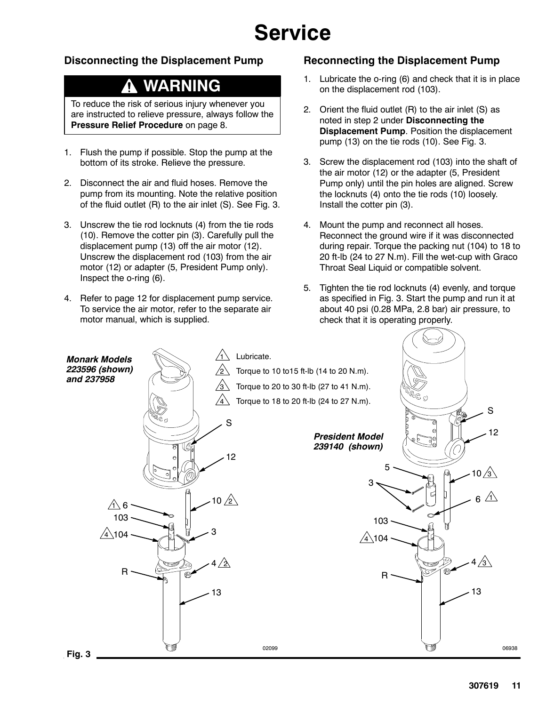# **Service**

### **Disconnecting the Displacement Pump**

## **WARNING**

To reduce the risk of serious injury whenever you are instructed to relieve pressure, always follow the **Pressure Relief Procedure** on page 8.

- 1. Flush the pump if possible. Stop the pump at the bottom of its stroke. Relieve the pressure.
- 2. Disconnect the air and fluid hoses. Remove the pump from its mounting. Note the relative position of the fluid outlet (R) to the air inlet (S). See Fig. 3.
- 3. Unscrew the tie rod locknuts (4) from the tie rods (10). Remove the cotter pin (3). Carefully pull the displacement pump (13) off the air motor (12). Unscrew the displacement rod (103) from the air motor (12) or adapter (5, President Pump only). Inspect the o-ring (6).
- 4. Refer to page 12 for displacement pump service. To service the air motor, refer to the separate air motor manual, which is supplied.

### **Reconnecting the Displacement Pump**

- 1. Lubricate the o-ring (6) and check that it is in place on the displacement rod (103).
- 2. Orient the fluid outlet (R) to the air inlet (S) as noted in step 2 under **Disconnecting the Displacement Pump**. Position the displacement pump (13) on the tie rods (10). See Fig. 3.
- 3. Screw the displacement rod (103) into the shaft of the air motor (12) or the adapter (5, President Pump only) until the pin holes are aligned. Screw the locknuts (4) onto the tie rods (10) loosely. Install the cotter pin (3).
- 4. Mount the pump and reconnect all hoses. Reconnect the ground wire if it was disconnected during repair. Torque the packing nut (104) to 18 to 20 ft-lb (24 to 27 N.m). Fill the wet-cup with Graco Throat Seal Liquid or compatible solvent.
- 5. Tighten the tie rod locknuts (4) evenly, and torque as specified in Fig. 3. Start the pump and run it at about 40 psi (0.28 MPa, 2.8 bar) air pressure, to check that it is operating properly.

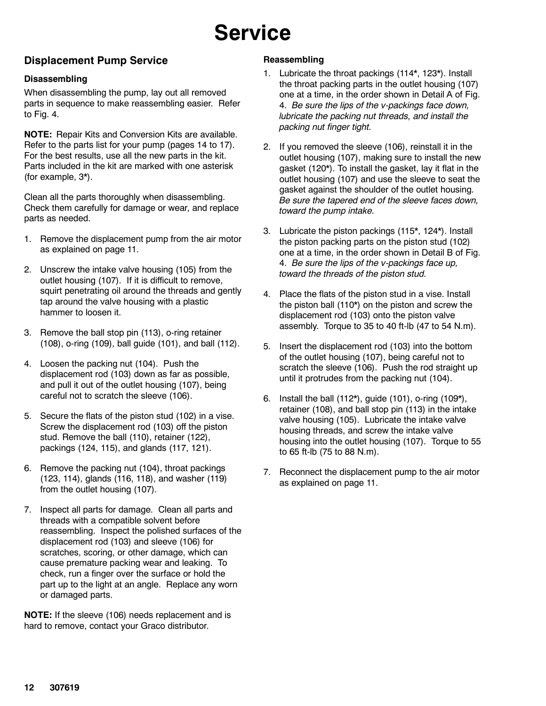# **Service**

### **Displacement Pump Service**

### **Disassembling**

When disassembling the pump, lay out all removed parts in sequence to make reassembling easier. Refer to Fig. 4.

**NOTE:** Repair Kits and Conversion Kits are available. Refer to the parts list for your pump (pages 14 to 17). For the best results, use all the new parts in the kit. Parts included in the kit are marked with one asterisk (for example, 3\*).

Clean all the parts thoroughly when disassembling. Check them carefully for damage or wear, and replace parts as needed.

- 1. Remove the displacement pump from the air motor as explained on page 11.
- 2. Unscrew the intake valve housing (105) from the outlet housing (107). If it is difficult to remove, squirt penetrating oil around the threads and gently tap around the valve housing with a plastic hammer to loosen it.
- 3. Remove the ball stop pin (113), o-ring retainer (108), o-ring (109), ball guide (101), and ball (112).
- 4. Loosen the packing nut (104). Push the displacement rod (103) down as far as possible, and pull it out of the outlet housing (107), being careful not to scratch the sleeve (106).
- 5. Secure the flats of the piston stud (102) in a vise. Screw the displacement rod (103) off the piston stud. Remove the ball (110), retainer (122), packings (124, 115), and glands (117, 121).
- 6. Remove the packing nut (104), throat packings (123, 114), glands (116, 118), and washer (119) from the outlet housing (107).
- 7. Inspect all parts for damage. Clean all parts and threads with a compatible solvent before reassembling. Inspect the polished surfaces of the displacement rod (103) and sleeve (106) for scratches, scoring, or other damage, which can cause premature packing wear and leaking. To check, run a finger over the surface or hold the part up to the light at an angle. Replace any worn or damaged parts.

**NOTE:** If the sleeve (106) needs replacement and is hard to remove, contact your Graco distributor.

### **Reassembling**

- 1. Lubricate the throat packings (114\*, 123\*). Install the throat packing parts in the outlet housing (107) one at a time, in the order shown in Detail A of Fig. 4. *Be sure the lips of the v-packings face down, lubricate the packing nut threads, and install the packing nut finger tight.*
- 2. If you removed the sleeve (106), reinstall it in the outlet housing (107), making sure to install the new gasket (120\*). To install the gasket, lay it flat in the outlet housing (107) and use the sleeve to seat the gasket against the shoulder of the outlet housing. *Be sure the tapered end of the sleeve faces down, toward the pump intake.*
- 3. Lubricate the piston packings (115\*, 124\*). Install the piston packing parts on the piston stud (102) one at a time, in the order shown in Detail B of Fig. 4. *Be sure the lips of the v-packings face up, toward the threads of the piston stud.*
- 4. Place the flats of the piston stud in a vise. Install the piston ball (110\*) on the piston and screw the displacement rod (103) onto the piston valve assembly. Torque to 35 to 40 ft-lb (47 to 54 N.m).
- 5. Insert the displacement rod (103) into the bottom of the outlet housing (107), being careful not to scratch the sleeve (106). Push the rod straight up until it protrudes from the packing nut (104).
- 6. Install the ball (112\*), guide (101), o-ring (109\*), retainer (108), and ball stop pin (113) in the intake valve housing (105). Lubricate the intake valve housing threads, and screw the intake valve housing into the outlet housing (107). Torque to 55 to 65 ft-lb (75 to 88 N.m).
- 7. Reconnect the displacement pump to the air motor as explained on page 11.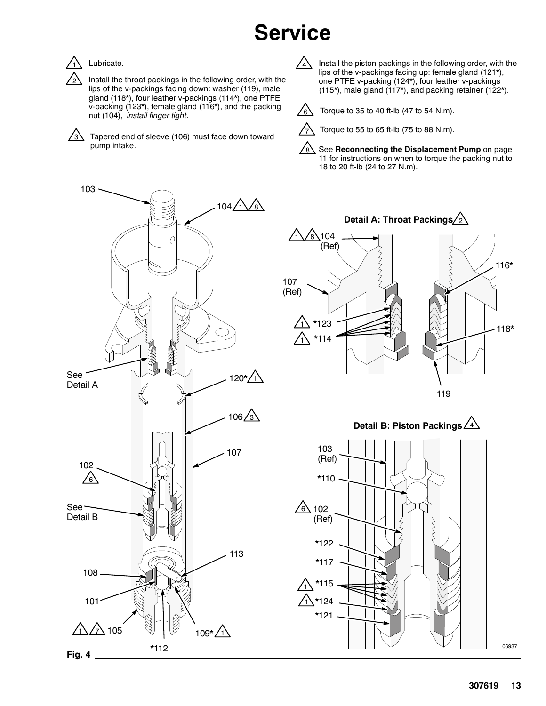# **Service**



2

### Lubricate.

Install the throat packings in the following order, with the lips of the v-packings facing down: washer (119), male gland (118\*), four leather v-packings (114\*), one PTFE v-packing (123\*), female gland (116\*), and the packing nut (104), *install finger tight*.

Tapered end of sleeve (106) must face down toward  $\sqrt{\frac{1}{2}}$  Torque to 55 to 65 ft-lb (75 to 88 N.m). pump intake.  $\sqrt{3}$ 

Install the piston packings in the following order, with the lips of the v-packings facing up: female gland (121\*), one PTFE v-packing (124\*), four leather v-packings (115\*), male gland (117\*), and packing retainer (122\*).  $\sqrt{4}$ 



Torque to 35 to 40 ft-lb (47 to 54 N.m).



8 See **Reconnecting the Displacement Pump** on page 11 for instructions on when to torque the packing nut to 18 to 20 ft-lb (24 to 27 N.m).





### **Detail B: Piston Packings** 4



06937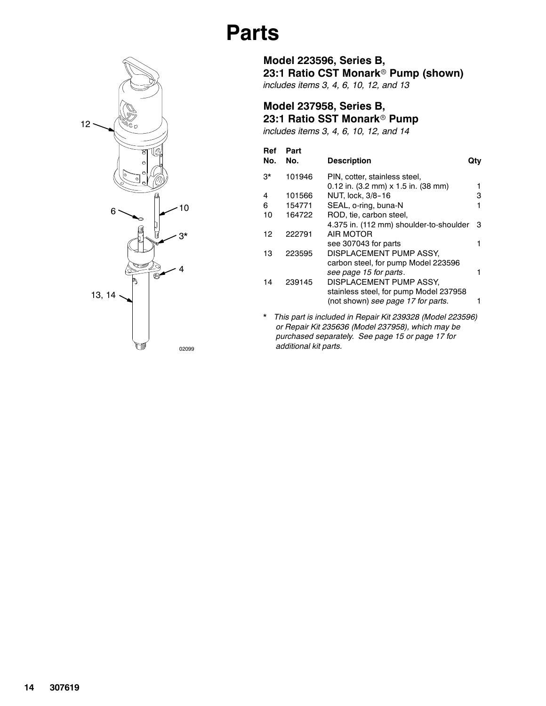

**Model 237958, Series B, 23:1 Ratio SST Monark<sup>®</sup> Pump** 

| includes items 3, 4, 6, 10, 12, and 14 |  |  |  |
|----------------------------------------|--|--|--|
|----------------------------------------|--|--|--|

| Ref<br>No. | Part<br>No. | <b>Description</b>                      | Qtv |
|------------|-------------|-----------------------------------------|-----|
| 3*         | 101946      | PIN, cotter, stainless steel,           |     |
|            |             | $0.12$ in. (3.2 mm) x 1.5 in. (38 mm)   |     |
| 4          | 101566      | NUT, lock, 3/8-16                       | з   |
| 6          | 154771      | SEAL, o-ring, buna-N                    |     |
| 10         | 164722      | ROD, tie, carbon steel,                 |     |
|            |             | 4.375 in. (112 mm) shoulder-to-shoulder | 3   |
| 12         | 222791      | AIR MOTOR                               |     |
|            |             | see 307043 for parts                    |     |
| 13         | 223595      | DISPLACEMENT PUMP ASSY,                 |     |
|            |             | carbon steel, for pump Model 223596     |     |
|            |             | see page 15 for parts.                  |     |
| 14         | 239145      | DISPLACEMENT PUMP ASSY,                 |     |
|            |             | stainless steel, for pump Model 237958  |     |
|            |             | (not shown) see page 17 for parts.      |     |
|            |             |                                         |     |

*\* This part is included in Repair Kit 239328 (Model 223596) or Repair Kit 235636 (Model 237958), which may be purchased separately. See page 15 or page 17 for additional kit parts.*

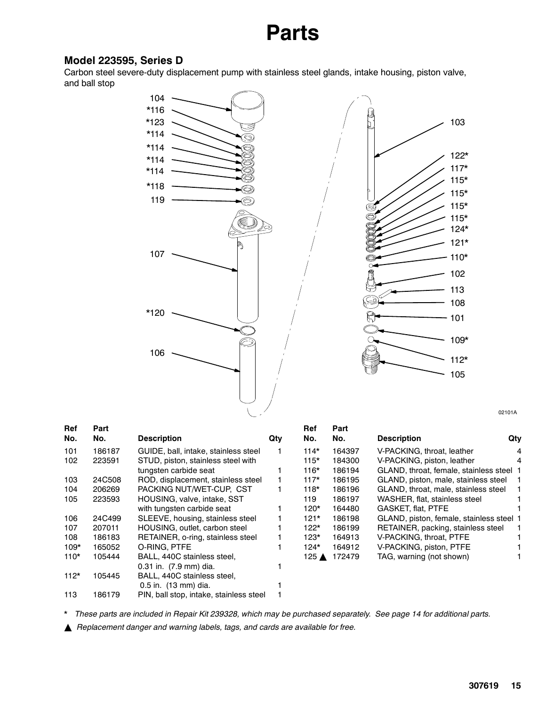### **Model 223595, Series D**

Carbon steel severe-duty displacement pump with stainless steel glands, intake housing, piston valve, and ball stop



02101A

| <b>Ref</b> | Part   |                                         |     | Ref    | Part   |                                          |     |
|------------|--------|-----------------------------------------|-----|--------|--------|------------------------------------------|-----|
| No.        | No.    | <b>Description</b>                      | Qty | No.    | No.    | <b>Description</b>                       | Qty |
| 101        | 186187 | GUIDE, ball, intake, stainless steel    |     | $114*$ | 164397 | V-PACKING, throat, leather               | 4   |
| 102        | 223591 | STUD, piston, stainless steel with      |     | 115*   | 184300 | V-PACKING, piston, leather               | 4   |
|            |        | tungsten carbide seat                   |     | 116*   | 186194 | GLAND, throat, female, stainless steel 1 |     |
| 103        | 24C508 | ROD, displacement, stainless steel      |     | $117*$ | 186195 | GLAND, piston, male, stainless steel     | - 1 |
| 104        | 206269 | PACKING NUT/WET-CUP. CST                |     | 118*   | 186196 | GLAND, throat, male, stainless steel     | 1.  |
| 105        | 223593 | HOUSING, valve, intake, SST             |     | 119    | 186197 | WASHER, flat, stainless steel            |     |
|            |        | with tungsten carbide seat              |     | 120*   | 164480 | GASKET, flat, PTFE                       |     |
| 106        | 24C499 | SLEEVE, housing, stainless steel        |     | 121*   | 186198 | GLAND, piston, female, stainless steel 1 |     |
| 107        | 207011 | HOUSING, outlet, carbon steel           |     | 122*   | 186199 | RETAINER, packing, stainless steel       | 1.  |
| 108        | 186183 | RETAINER, o-ring, stainless steel       |     | 123*   | 164913 | V-PACKING, throat, PTFE                  |     |
| $109*$     | 165052 | O-RING, PTFE                            |     | 124*   | 164912 | V-PACKING, piston, PTFE                  |     |
| $110*$     | 105444 | BALL, 440C stainless steel.             |     | 125 ▲  | 172479 | TAG, warning (not shown)                 |     |
|            |        | 0.31 in. (7.9 mm) dia.                  |     |        |        |                                          |     |
| $112*$     | 105445 | BALL, 440C stainless steel,             |     |        |        |                                          |     |
|            |        | 0.5 in. (13 mm) dia.                    |     |        |        |                                          |     |
| 113        | 186179 | PIN, ball stop, intake, stainless steel |     |        |        |                                          |     |
|            |        |                                         |     |        |        |                                          |     |

*\* These parts are included in Repair Kit 239328, which may be purchased separately. See page 14 for additional parts.*

Y *Replacement danger and warning labels, tags, and cards are available for free.*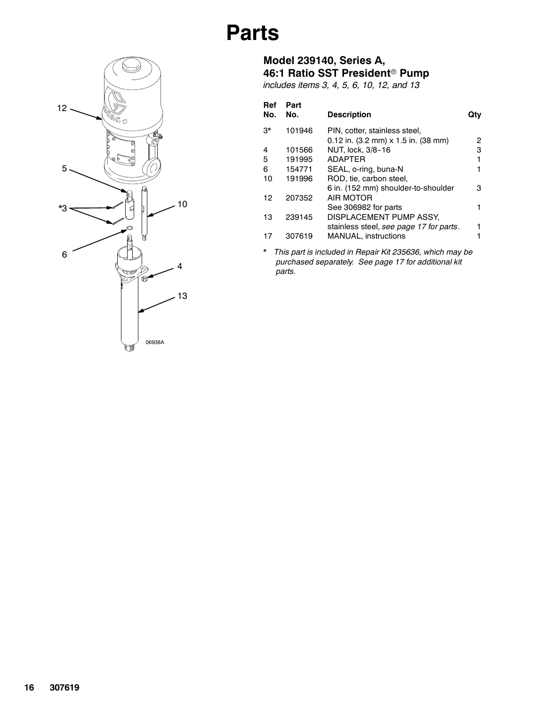

### **Model 239140, Series A, 46:1 Ratio SST President<sup>®</sup> Pump**

*includes items 3, 4, 5, 6, 10, 12, and 13*

| Ref<br>No.  | Part<br>No. | <b>Description</b>                      | utv |
|-------------|-------------|-----------------------------------------|-----|
| $3^{\star}$ | 101946      | PIN, cotter, stainless steel,           |     |
|             |             | $0.12$ in. (3.2 mm) x 1.5 in. (38 mm)   | 2   |
| 4           | 101566      | NUT, lock, 3/8-16                       | з   |
| 5           | 191995      | ADAPTER                                 |     |
| 6           | 154771      | SEAL, o-ring, buna-N                    |     |
| 10          | 191996      | ROD, tie, carbon steel,                 |     |
|             |             | 6 in. (152 mm) shoulder-to-shoulder     | з   |
| 12          | 207352      | AIR MOTOR                               |     |
|             |             | See 306982 for parts                    |     |
| 13          | 239145      | DISPLACEMENT PUMP ASSY,                 |     |
|             |             | stainless steel, see page 17 for parts. |     |
|             | 307619      | <b>MANUAL, instructions</b>             |     |

*\* This part is included in Repair Kit 235636, which may be purchased separately. See page 17 for additional kit parts.*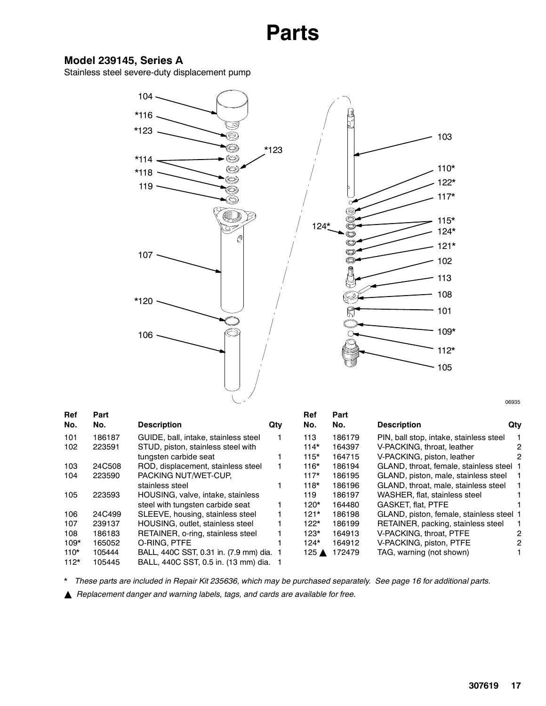### **Model 239145, Series A**

Stainless steel severe-duty displacement pump



06935

| Ref    | Part   |                                          |     | Ref             | Part   |                                          |     |
|--------|--------|------------------------------------------|-----|-----------------|--------|------------------------------------------|-----|
| No.    | No.    | <b>Description</b>                       | Qty | No.             | No.    | <b>Description</b>                       | Qty |
| 101    | 186187 | GUIDE, ball, intake, stainless steel     |     | 113             | 186179 | PIN, ball stop, intake, stainless steel  |     |
| 102    | 223591 | STUD, piston, stainless steel with       |     | $114*$          | 164397 | V-PACKING, throat, leather               | 2   |
|        |        | tungsten carbide seat                    |     | $115*$          | 164715 | V-PACKING, piston, leather               | 2   |
| 103    | 24C508 | ROD, displacement, stainless steel       |     | $116*$          | 186194 | GLAND, throat, female, stainless steel 1 |     |
| 104    | 223590 | PACKING NUT/WET-CUP.                     |     | $117*$          | 186195 | GLAND, piston, male, stainless steel     |     |
|        |        | stainless steel                          |     | $118*$          | 186196 | GLAND, throat, male, stainless steel     |     |
| 105    | 223593 | HOUSING, valve, intake, stainless        |     | 119             | 186197 | WASHER, flat, stainless steel            |     |
|        |        | steel with tungsten carbide seat         |     | $120*$          | 164480 | <b>GASKET, flat, PTFE</b>                |     |
| 106    | 24C499 | SLEEVE, housing, stainless steel         |     | $121*$          | 186198 | GLAND, piston, female, stainless steel 1 |     |
| 107    | 239137 | HOUSING, outlet, stainless steel         |     | $122*$          | 186199 | RETAINER, packing, stainless steel       |     |
| 108    | 186183 | RETAINER, o-ring, stainless steel        |     | $123*$          | 164913 | V-PACKING, throat, PTFE                  | 2   |
| $109*$ | 165052 | O-RING, PTFE                             |     | $124*$          | 164912 | V-PACKING, piston, PTFE                  | 2   |
| $110*$ | 105444 | BALL, 440C SST, 0.31 in. (7.9 mm) dia. 1 |     | 125 $\triangle$ | 172479 | TAG, warning (not shown)                 |     |
| $112*$ | 105445 | BALL, 440C SST, 0.5 in. (13 mm) dia.     |     |                 |        |                                          |     |

*\* These parts are included in Repair Kit 235636, which may be purchased separately. See page 16 for additional parts.*

**△** *Replacement danger and warning labels, tags, and cards are available for free.*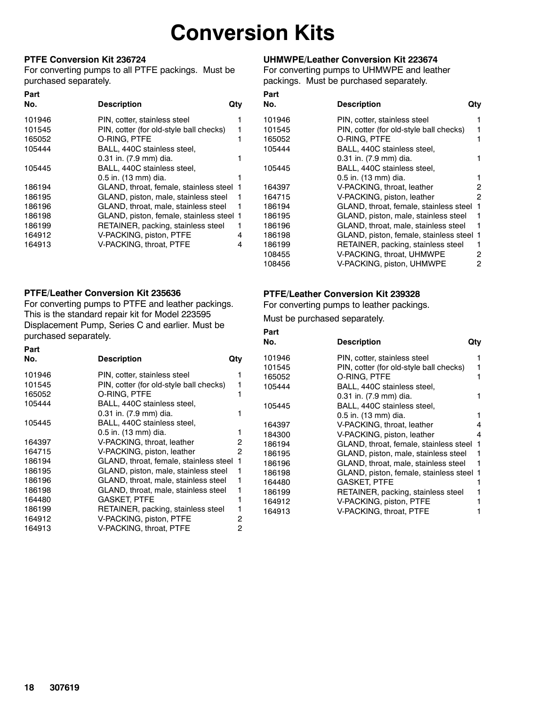## **Conversion Kits**

#### **PTFE Conversion Kit 236724**

For converting pumps to all PTFE packings. Must be purchased separately.

#### **Part No. Description Qty** 101946 PIN, cotter, stainless steel 1 101545 PIN, cotter (for old-style ball checks) 1 165052 O-RING, PTFE 1 105444 BALL, 440C stainless steel, 0.31 in. (7.9 mm) dia. 1 105445 BALL, 440C stainless steel, 0.5 in. (13 mm) dia. 1 186194 GLAND, throat, female, stainless steel 1 186195 GLAND, piston, male, stainless steel 1 186196 GLAND, throat, male, stainless steel 1 186198 GLAND, piston, female, stainless steel 1 186199 RETAINER, packing, stainless steel 1 164912 V-PACKING, piston, PTFE 4 164913 V-PACKING, throat, PTFE 4

### **UHMWPE/Leather Conversion Kit 223674**

For converting pumps to UHMWPE and leather packings. Must be purchased separately.

| Part   |                                         |     |
|--------|-----------------------------------------|-----|
| No.    | <b>Description</b>                      | Qtv |
| 101946 | PIN, cotter, stainless steel            |     |
| 101545 | PIN, cotter (for old-style ball checks) | 1   |
| 165052 | O-RING, PTFE                            | 1   |
| 105444 | BALL, 440C stainless steel,             |     |
|        | 0.31 in. (7.9 mm) dia.                  | 1   |
| 105445 | BALL, 440C stainless steel,             |     |
|        | 0.5 in. (13 mm) dia.                    | 1   |
| 164397 | V-PACKING, throat, leather              | 2   |
| 164715 | V-PACKING, piston, leather              | 2   |
| 186194 | GLAND, throat, female, stainless steel  | 1   |
| 186195 | GLAND, piston, male, stainless steel    | 1   |
| 186196 | GLAND, throat, male, stainless steel    | 1   |
| 186198 | GLAND, piston, female, stainless steel  | -1  |
| 186199 | RETAINER, packing, stainless steel      | 1   |
| 108455 | V-PACKING, throat, UHMWPE               | 2   |
| 108456 | V-PACKING, piston, UHMWPE               | 2   |

#### **PTFE/Leather Conversion Kit 235636**

For converting pumps to PTFE and leather packings. This is the standard repair kit for Model 223595 Displacement Pump, Series C and earlier. Must be purchased separately.

| Part   |                                         |     |
|--------|-----------------------------------------|-----|
| No.    | <b>Description</b>                      | Qty |
| 101946 | PIN, cotter, stainless steel            |     |
| 101545 | PIN, cotter (for old-style ball checks) |     |
| 165052 | O-RING, PTFE                            |     |
| 105444 | BALL, 440C stainless steel,             |     |
|        | 0.31 in. (7.9 mm) dia.                  |     |
| 105445 | BALL, 440C stainless steel,             |     |
|        | 0.5 in. (13 mm) dia.                    |     |
| 164397 | V-PACKING, throat, leather              | 2   |
| 164715 | V-PACKING, piston, leather              | 2   |
| 186194 | GLAND, throat, female, stainless steel  | 1   |
| 186195 | GLAND, piston, male, stainless steel    | 1   |
| 186196 | GLAND, throat, male, stainless steel    | 1   |
| 186198 | GLAND, throat, male, stainless steel    |     |
| 164480 | <b>GASKET, PTFE</b>                     |     |
| 186199 | RETAINER, packing, stainless steel      |     |
| 164912 | V-PACKING, piston, PTFE                 | 2   |
| 164913 | V-PACKING, throat, PTFE                 | 2   |

#### **PTFE/Leather Conversion Kit 239328**

For converting pumps to leather packings.

Must be purchased separately.

| Part   |                                         |     |
|--------|-----------------------------------------|-----|
| No.    | <b>Description</b>                      | Qtv |
| 101946 | PIN, cotter, stainless steel            |     |
| 101545 | PIN, cotter (for old-style ball checks) |     |
| 165052 | O-RING, PTFE                            |     |
| 105444 | BALL, 440C stainless steel,             |     |
|        | 0.31 in. (7.9 mm) dia.                  |     |
| 105445 | BALL, 440C stainless steel,             |     |
|        | 0.5 in. (13 mm) dia.                    |     |
| 164397 | V-PACKING, throat, leather              | 4   |
| 184300 | V-PACKING, piston, leather              | 4   |
| 186194 | GLAND, throat, female, stainless steel  | 1   |
| 186195 | GLAND, piston, male, stainless steel    | 1   |
| 186196 | GLAND, throat, male, stainless steel    | 1   |
| 186198 | GLAND, piston, female, stainless steel  | -1  |
| 164480 | <b>GASKET, PTFE</b>                     |     |
| 186199 | RETAINER, packing, stainless steel      |     |
| 164912 | V-PACKING, piston, PTFE                 |     |
| 164913 | V-PACKING, throat, PTFE                 |     |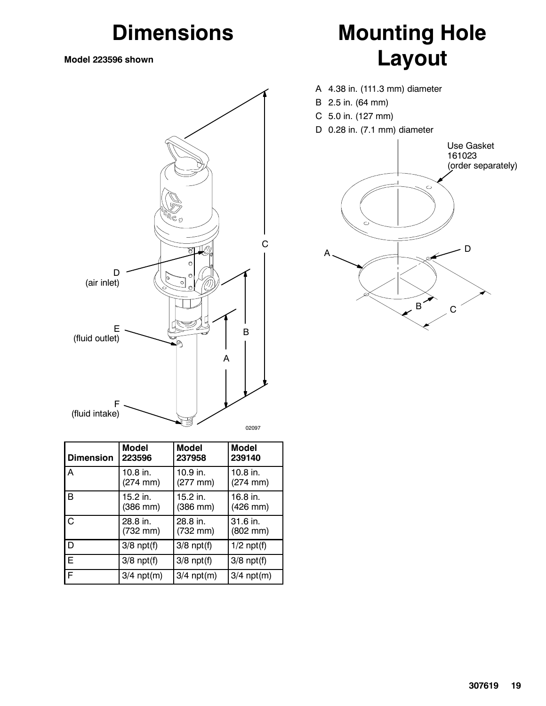## **Dimensions**

**Model 223596 shown**



| <b>Dimension</b> | <b>Model</b>    | <b>Model</b>         | <b>Model</b>         |
|------------------|-----------------|----------------------|----------------------|
|                  | 223596          | 237958               | 239140               |
| $\overline{A}$   | 10.8 in.        | $10.9$ in.           | $10.8$ in.           |
|                  | (274 mm)        | $(277 \, \text{mm})$ | $(274 \, \text{mm})$ |
| IВ               | 15.2 in.        | $15.2$ in.           | $16.8$ in.           |
|                  | (386 mm)        | $(386$ mm $)$        | $(426$ mm $)$        |
| $\overline{C}$   | 28.8 in.        | 28.8 in.             | 31.6 in.             |
|                  | (732 mm)        | $(732 \, \text{mm})$ | $(802 \, \text{mm})$ |
| <b>D</b>         | $3/8$ npt $(f)$ | $3/8$ npt $(f)$      | $1/2$ npt $(f)$      |
| Ē                | $3/8$ npt $(f)$ | $3/8$ npt $(f)$      | $3/8$ npt $(f)$      |
| F                | $3/4$ npt $(m)$ | $3/4$ npt $(m)$      | $3/4$ npt $(m)$      |

# **Mounting Hole Layout**

- A 4.38 in. (111.3 mm) diameter
- B 2.5 in. (64 mm)
- C 5.0 in. (127 mm)
- D 0.28 in. (7.1 mm) diameter

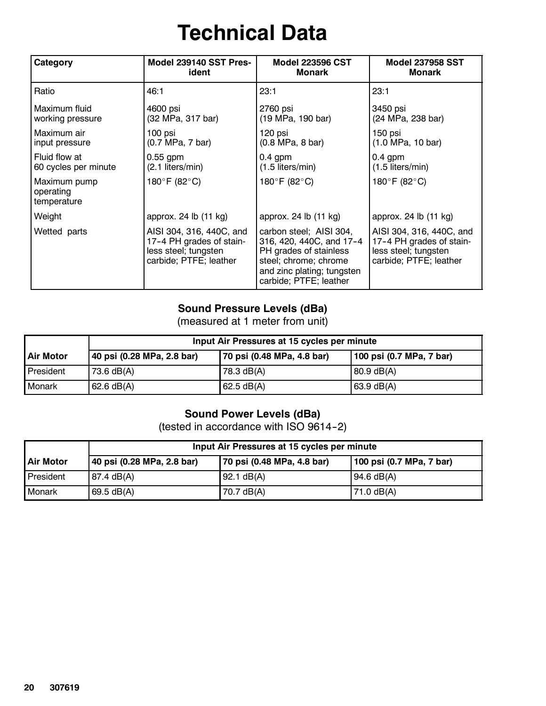# **Technical Data**

| Category                                 | Model 239140 SST Pres-                                                                                 | <b>Model 223596 CST</b>                                                                                                                                        | <b>Model 237958 SST</b>                                                                                |
|------------------------------------------|--------------------------------------------------------------------------------------------------------|----------------------------------------------------------------------------------------------------------------------------------------------------------------|--------------------------------------------------------------------------------------------------------|
|                                          | ident                                                                                                  | <b>Monark</b>                                                                                                                                                  | <b>Monark</b>                                                                                          |
| Ratio                                    | 46:1                                                                                                   | 23:1                                                                                                                                                           | 23:1                                                                                                   |
| Maximum fluid                            | 4600 psi                                                                                               | 2760 psi                                                                                                                                                       | 3450 psi                                                                                               |
| working pressure                         | (32 MPa, 317 bar)                                                                                      | (19 MPa, 190 bar)                                                                                                                                              | (24 MPa, 238 bar)                                                                                      |
| Maximum air                              | 100 psi                                                                                                | 120 psi                                                                                                                                                        | 150 psi                                                                                                |
| input pressure                           | (0.7 MPa, 7 bar)                                                                                       | $(0.8 \text{ MPa}, 8 \text{ bar})$                                                                                                                             | (1.0 MPa, 10 bar)                                                                                      |
| Fluid flow at                            | $0.55$ gpm                                                                                             | $0.4$ gpm                                                                                                                                                      | $0.4$ gpm                                                                                              |
| 60 cycles per minute                     | (2.1 liters/min)                                                                                       | (1.5 liters/min)                                                                                                                                               | $(1.5$ liters/min)                                                                                     |
| Maximum pump<br>operating<br>temperature | 180°F (82°C)                                                                                           | 180°F (82°C)                                                                                                                                                   | 180°F (82°C)                                                                                           |
| Weight                                   | approx. 24 lb (11 kg)                                                                                  | approx. 24 lb (11 kg)                                                                                                                                          | approx. 24 lb (11 kg)                                                                                  |
| Wetted parts                             | AISI 304, 316, 440C, and<br>17-4 PH grades of stain-<br>less steel; tungsten<br>carbide; PTFE; leather | carbon steel; AISI 304,<br>316, 420, 440C, and 17-4<br>PH grades of stainless<br>steel; chrome; chrome<br>and zinc plating; tungsten<br>carbide; PTFE; leather | AISI 304, 316, 440C, and<br>17-4 PH grades of stain-<br>less steel; tungsten<br>carbide; PTFE; leather |

### **Sound Pressure Levels (dBa)**

(measured at 1 meter from unit)

|                  | Input Air Pressures at 15 cycles per minute |                            |                          |  |
|------------------|---------------------------------------------|----------------------------|--------------------------|--|
| <b>Air Motor</b> | 40 psi (0.28 MPa, 2.8 bar)                  | 70 psi (0.48 MPa, 4.8 bar) | 100 psi (0.7 MPa, 7 bar) |  |
| <b>President</b> | 73.6 $dB(A)$                                | 78.3 dB(A)                 | $80.9$ dB(A)             |  |
| <b>Monark</b>    | $62.6 \text{ dB}(A)$                        | 62.5 dB(A)                 | $63.9 \text{ dB}(A)$     |  |

### **Sound Power Levels (dBa)**

(tested in accordance with ISO 9614-2)

| Input Air Pressures at 15 cycles per minute |                            |                            |                          |
|---------------------------------------------|----------------------------|----------------------------|--------------------------|
| <b>Air Motor</b>                            | 40 psi (0.28 MPa, 2.8 bar) | 70 psi (0.48 MPa, 4.8 bar) | 100 psi (0.7 MPa, 7 bar) |
| President                                   | 87.4 dB(A)                 | 92.1 dB(A)                 | $94.6 \text{ dB(A)}$     |
| <b>Monark</b>                               | $69.5 \text{ dB}(A)$       | 70.7 $dB(A)$               | 71.0 $dB(A)$             |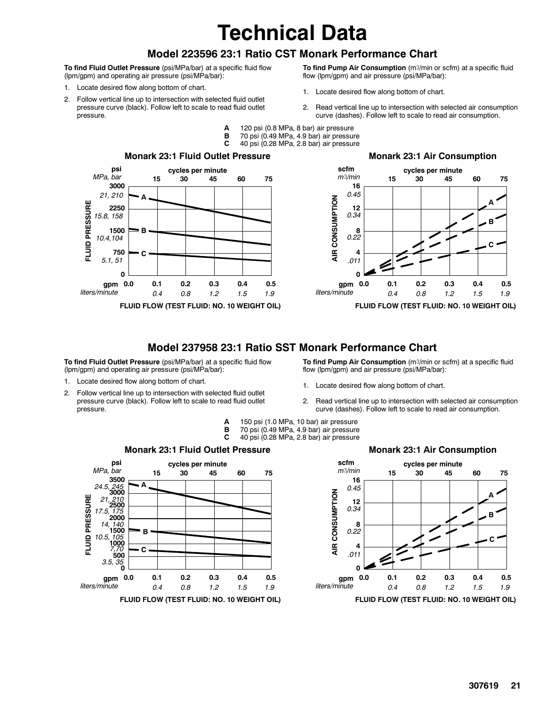## **Technical Data**

### **Model 223596 23:1 Ratio CST Monark Performance Chart**

**To find Fluid Outlet Pressure** (psi/MPa/bar) at a specific fluid flow (lpm/gpm) and operating air pressure (psi/MPa/bar):

- 1. Locate desired flow along bottom of chart.
- 2. Follow vertical line up to intersection with selected fluid outlet pressure curve (black). Follow left to scale to read fluid outlet pressure.
- **To find Pump Air Consumption** (m3/min or scfm) at a specific fluid flow (lpm/gpm) and air pressure (psi/MPa/bar):
- 1. Locate desired flow along bottom of chart.
- 2. Read vertical line up to intersection with selected air consumption curve (dashes). Follow left to scale to read air consumption.
- 
- **A** 120 psi (0.8 MPa, 8 bar) air pressure
- **B** 70 psi (0.49 MPa, 4.9 bar) air pressure<br>**C** 40 psi (0.28 MPa, 2.8 bar) air pressure **C** 40 psi (0.28 MPa, 2.8 bar) air pressure





### **Model 237958 23:1 Ratio SST Monark Performance Chart**

**To find Fluid Outlet Pressure** (psi/MPa/bar) at a specific fluid flow (lpm/gpm) and operating air pressure (psi/MPa/bar):

- 1. Locate desired flow along bottom of chart.
- 2. Follow vertical line up to intersection with selected fluid outlet pressure curve (black). Follow left to scale to read fluid outlet pressure.
- To find Pump Air Consumption (m3/min or scfm) at a specific fluid flow (lpm/gpm) and air pressure (psi/MPa/bar):
- 1. Locate desired flow along bottom of chart.
- 2. Read vertical line up to intersection with selected air consumption curve (dashes). Follow left to scale to read air consumption.
- **A** 150 psi (1.0 MPa, 10 bar) air pressure **B** 70 psi (0.49 MPa, 4.9 bar) air pressure<br>**C** 40 psi (0.28 MPa, 2.8 bar) air pressure **C** 40 psi (0.28 MPa, 2.8 bar) air pressure







**FLUID FLOW (TEST FLUID: NO. 10 WEIGHT OIL)**

#### **Monark 23:1 Air Consumption**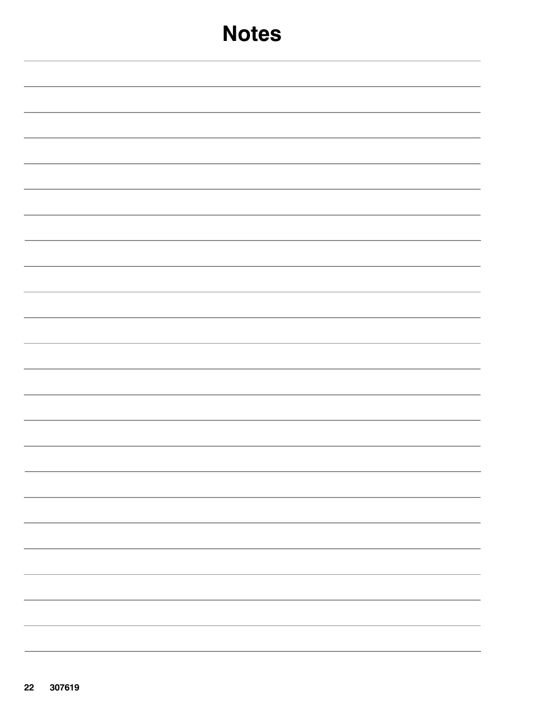| <b>Notes</b> |
|--------------|
|              |
|              |
|              |
|              |
|              |
|              |
|              |
|              |
|              |
|              |
|              |
|              |
|              |
| -            |
|              |
|              |
|              |
| -            |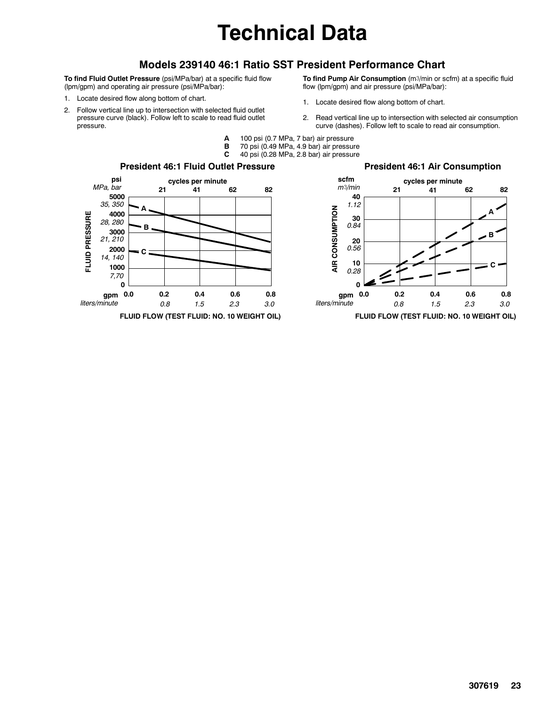# **Technical Data**

### **Models 239140 46:1 Ratio SST President Performance Chart**

**To find Fluid Outlet Pressure** (psi/MPa/bar) at a specific fluid flow (lpm/gpm) and operating air pressure (psi/MPa/bar):

- 1. Locate desired flow along bottom of chart.
- 2. Follow vertical line up to intersection with selected fluid outlet pressure curve (black). Follow left to scale to read fluid outlet pressure.
- **To find Pump Air Consumption** (m3/min or scfm) at a specific fluid flow (lpm/gpm) and air pressure (psi/MPa/bar):
- 1. Locate desired flow along bottom of chart.
- 2. Read vertical line up to intersection with selected air consumption curve (dashes). Follow left to scale to read air consumption.
- **A** 100 psi (0.7 MPa, 7 bar) air pressure
	- **B** 70 psi (0.49 MPa, 4.9 bar) air pressure
- **C** 40 psi (0.28 MPa, 2.8 bar) air pressure